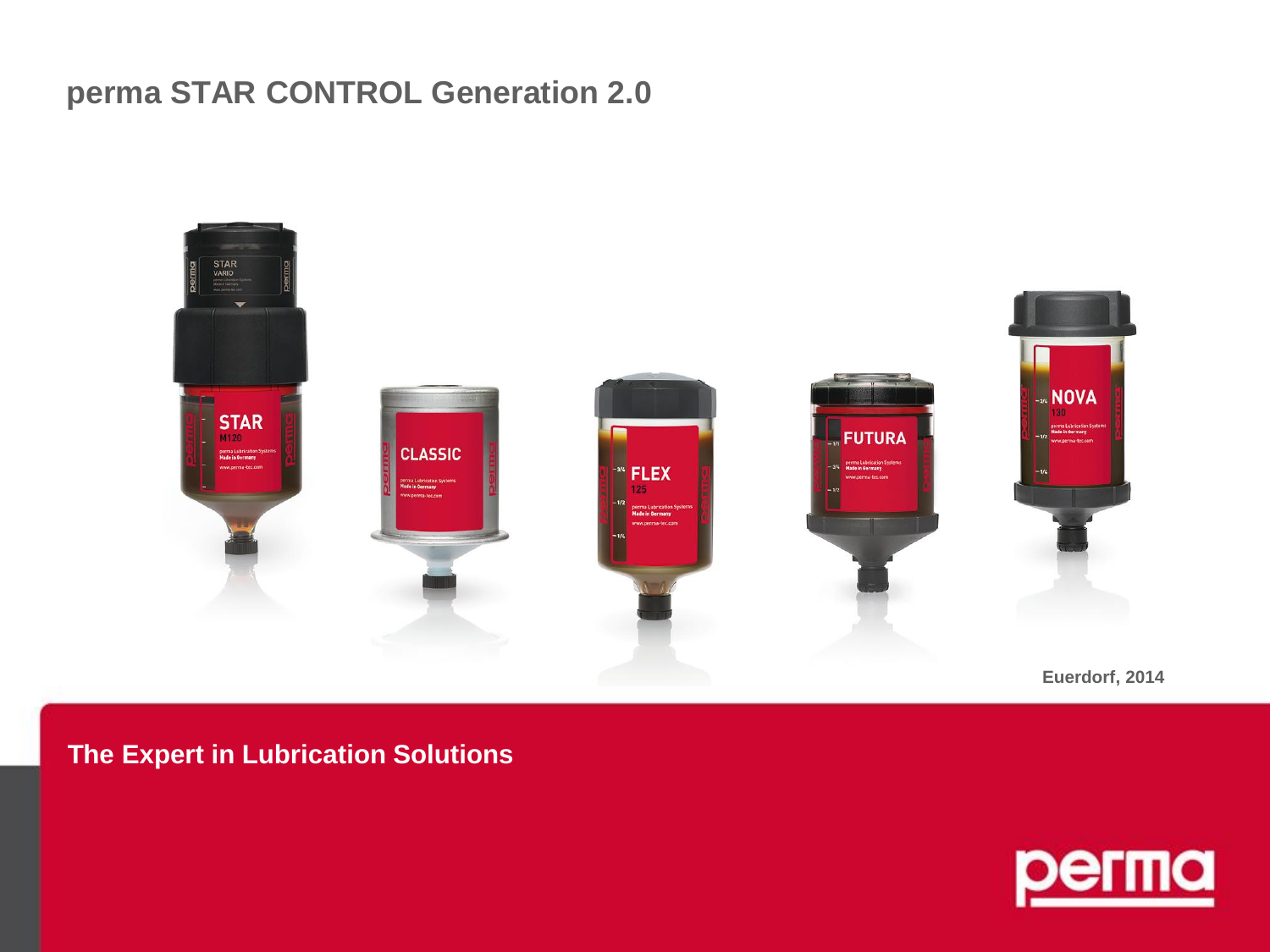## **perma STAR CONTROL Generation 2.0**



**Euerdorf, 2014**

#### **The Expert in Lubrication Solutions**

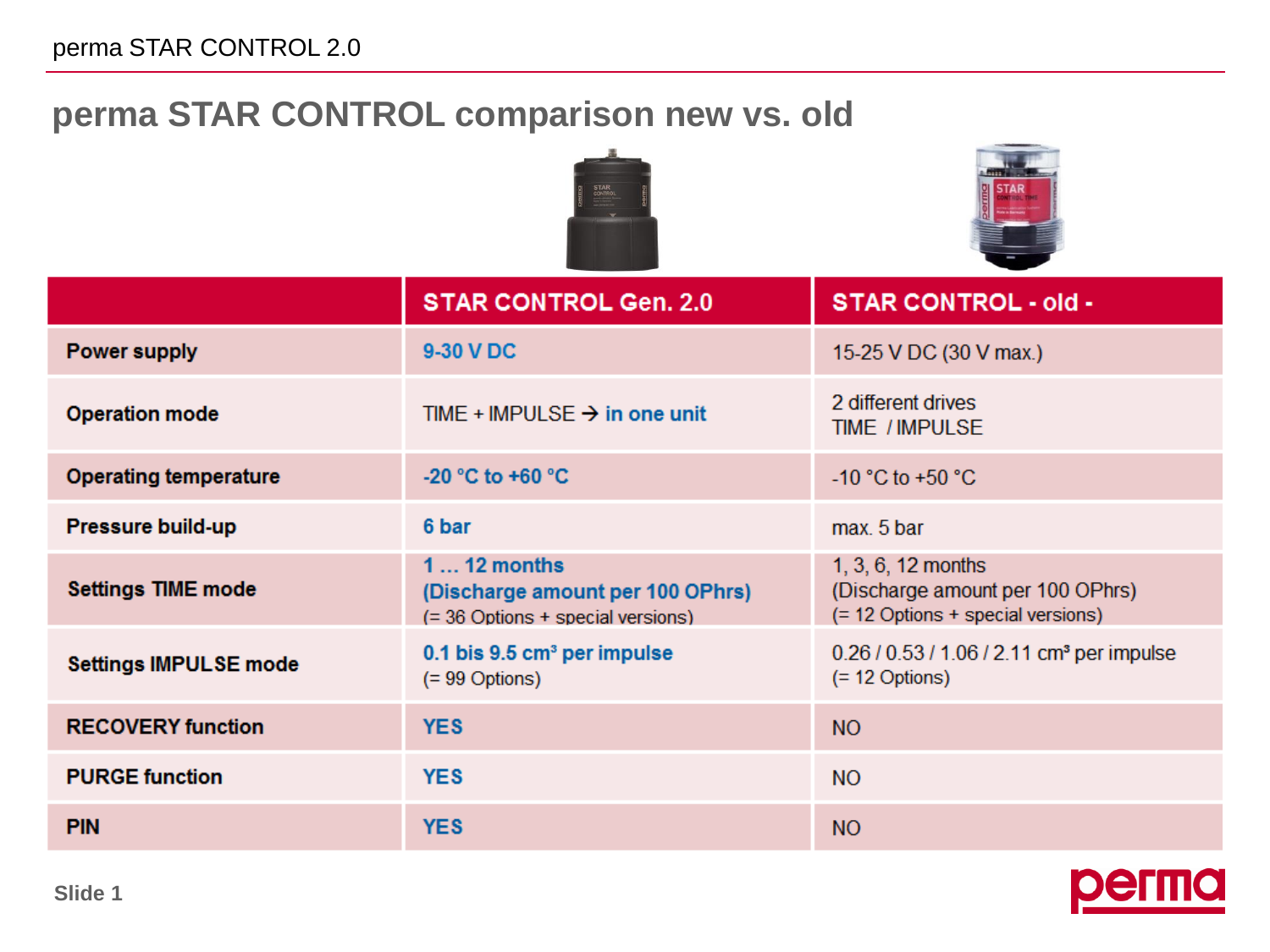# **perma STAR CONTROL comparison new vs. old**





|                              | <b>STAR CONTROL Gen. 2.0</b>                                                          | <b>STAR CONTROL - old -</b>                                                                   |
|------------------------------|---------------------------------------------------------------------------------------|-----------------------------------------------------------------------------------------------|
| <b>Power supply</b>          | 9-30 V DC                                                                             | 15-25 V DC (30 V max.)                                                                        |
| <b>Operation mode</b>        | TIME + IMPULSE $\rightarrow$ in one unit                                              | 2 different drives<br><b>TIME / IMPULSE</b>                                                   |
| <b>Operating temperature</b> | -20 °C to +60 °C                                                                      | $-10$ °C to +50 °C                                                                            |
| <b>Pressure build-up</b>     | 6 bar                                                                                 | max. 5 bar                                                                                    |
| <b>Settings TIME mode</b>    | $112$ months<br>(Discharge amount per 100 OPhrs)<br>(= 36 Options + special versions) | $1, 3, 6, 12$ months<br>(Discharge amount per 100 OPhrs)<br>(= 12 Options + special versions) |
| <b>Settings IMPULSE mode</b> | $0.1$ bis $9.5$ cm <sup>3</sup> per impulse<br>$(= 99$ Options)                       | 0.26 / 0.53 / 1.06 / 2.11 cm <sup>3</sup> per impulse<br>$(= 12$ Options)                     |
| <b>RECOVERY function</b>     | <b>YES</b>                                                                            | <b>NO</b>                                                                                     |
| <b>PURGE function</b>        | <b>YES</b>                                                                            | <b>NO</b>                                                                                     |
| <b>PIN</b>                   | <b>YES</b>                                                                            | <b>NO</b>                                                                                     |

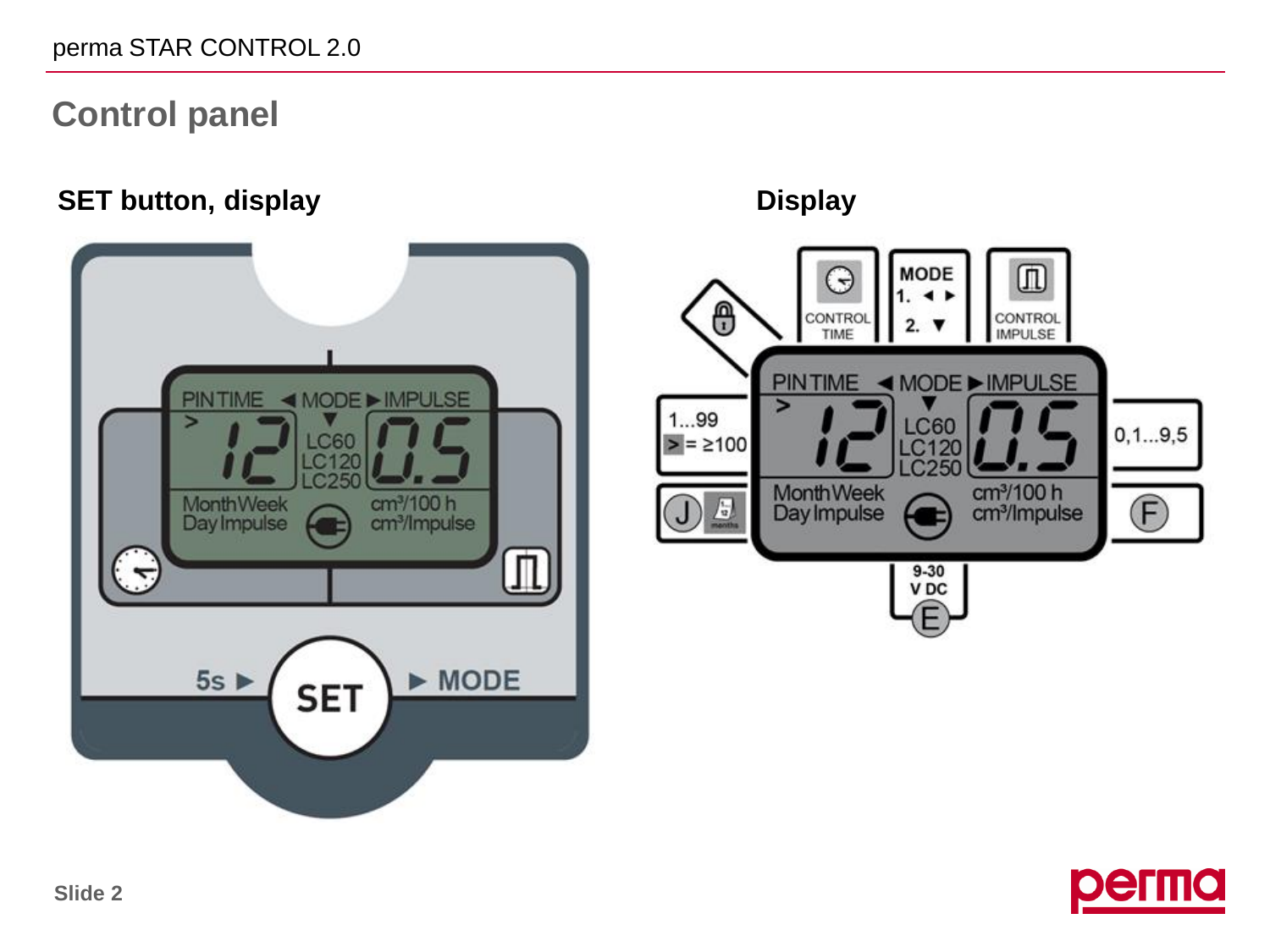# **Control panel**

#### **SET button, display Display**





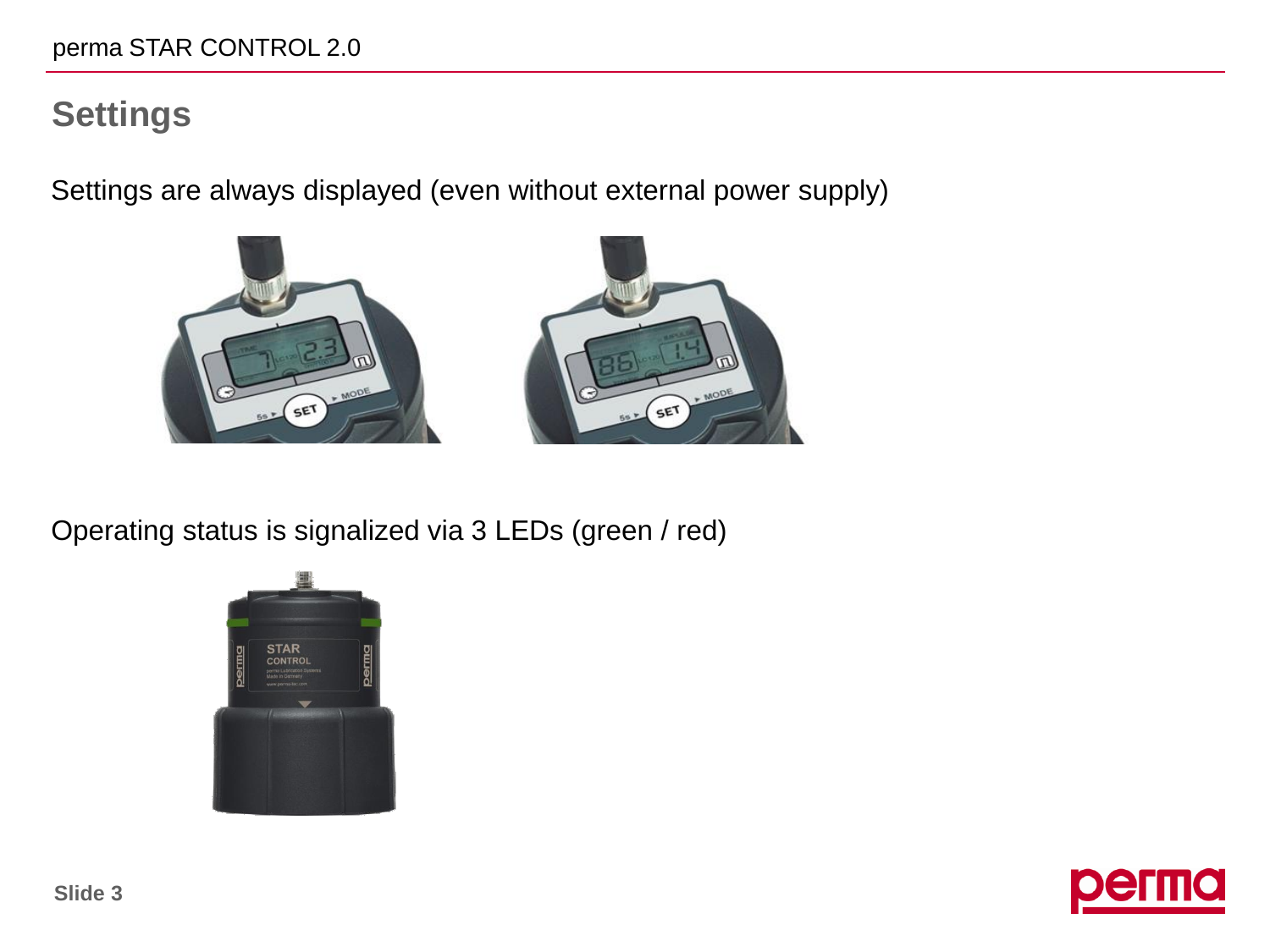## **Settings**

Settings are always displayed (even without external power supply)



Operating status is signalized via 3 LEDs (green / red)



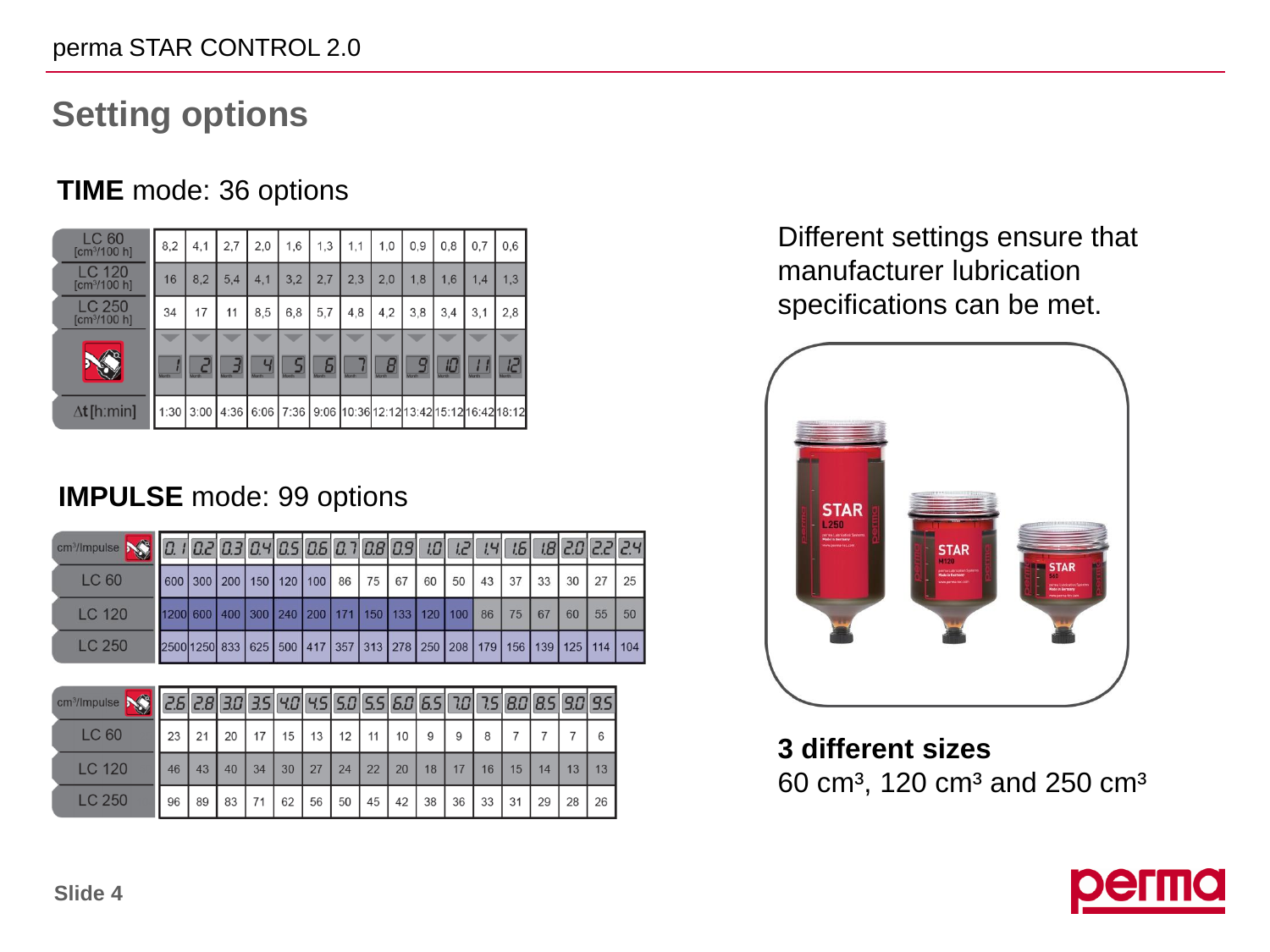# **Setting options**

### **TIME** mode: 36 options

| LC 60<br>[cm <sup>3</sup> /100 h]         | 8.2  | 4.1  | 2.7 | 2,0                            | 1,6   | 1,3        | 1,1           | 1,0 | 0.9                                                                       | 0.8 | 0.7   | 0,6 |
|-------------------------------------------|------|------|-----|--------------------------------|-------|------------|---------------|-----|---------------------------------------------------------------------------|-----|-------|-----|
| <b>LC 120</b><br>[cm <sup>3</sup> /100 h] | 16   | 8,2  | 5.4 | 4,1                            | 3,2   | 2,7        | 2,3           | 2,0 | 1,8                                                                       | 1,6 | 1.4   | 1,3 |
| LC 250<br>[cm <sup>3</sup> /100 h]        | 34   | 17   | 11  | 8,5                            | 6,8   | 5,7        | 4,8           | 4,2 | 3,8                                                                       | 3,4 | 3,1   | 2,8 |
|                                           |      |      |     |                                |       |            |               |     |                                                                           |     |       |     |
|                                           |      |      |     | $\overline{u}$<br><b>Month</b> | Month | ы<br>Month | <b>Aranth</b> |     |                                                                           | 旧   | Month |     |
| $\Delta t$ [hːmin]                        | 1:30 | 3:00 |     |                                |       |            |               |     | 4:36   6:06   7:36   9:06   10:36   12:12   13:42   15:12   16:42   18:12 |     |       |     |

### **IMPULSE** mode: 99 options

| $\frac{1}{2}$ cm <sup>2</sup> /lmpulse $\frac{1}{2}$ $\frac{1}{2}$ $\frac{1}{2}$ $\frac{1}{2}$ $\frac{1}{2}$ $\frac{1}{2}$ $\frac{1}{2}$ $\frac{1}{2}$ $\frac{1}{2}$ $\frac{1}{2}$ $\frac{1}{2}$ $\frac{1}{2}$ $\frac{1}{2}$ $\frac{1}{2}$ $\frac{1}{2}$ $\frac{1}{2}$ $\frac{1}{2}$ $\frac{1}{2}$ $\frac{1}{2}$ $\frac{1}{2$ |                                                                       |                                                          |  |  |  |  |  |  |    |    |    |
|-------------------------------------------------------------------------------------------------------------------------------------------------------------------------------------------------------------------------------------------------------------------------------------------------------------------------------|-----------------------------------------------------------------------|----------------------------------------------------------|--|--|--|--|--|--|----|----|----|
| LC 60                                                                                                                                                                                                                                                                                                                         |                                                                       | 600 300 200 150 120 100 86 75 67 60 50 43 37 33 30 27 25 |  |  |  |  |  |  |    |    |    |
| <b>LC 120</b>                                                                                                                                                                                                                                                                                                                 | 1200 600 400 300 240 200 171 150 133 120 100 86 75 67                 |                                                          |  |  |  |  |  |  | 60 | 55 | 50 |
| LC 250                                                                                                                                                                                                                                                                                                                        | 2500 1250 833 625 500 417 357 313 278 250 208 179 156 139 125 114 104 |                                                          |  |  |  |  |  |  |    |    |    |

| cm <sup>3</sup> /Impulse |    |    | 30 | 351 |    |    |    |    |    | $90$ $95$ $50$ $55$ $60$ $65$ | 70 | 751 |    |    |    | 8.0 8.5 8.0 8.5 |
|--------------------------|----|----|----|-----|----|----|----|----|----|-------------------------------|----|-----|----|----|----|-----------------|
| <b>LC 60</b>             | 23 | 21 | 20 |     | 15 | 13 | 12 | 11 | 10 | 9                             | 9  | 8   |    |    |    | 6               |
| <b>LC 120</b>            | 46 | 43 | 40 | 34  | 30 | 27 | 24 | 22 | 20 | 18                            | 17 | 16  | 15 | 14 | 13 | 13              |
| <b>LC 250</b>            | 96 | 89 | 83 | 71  | 62 | 56 | 50 | 45 | 42 | 38                            | 36 | 33  | 31 | 29 | 28 | 26              |

Different settings ensure that manufacturer lubrication specifications can be met.



**3 different sizes** 60 cm<sup>3</sup>, 120 cm<sup>3</sup> and 250 cm<sup>3</sup>

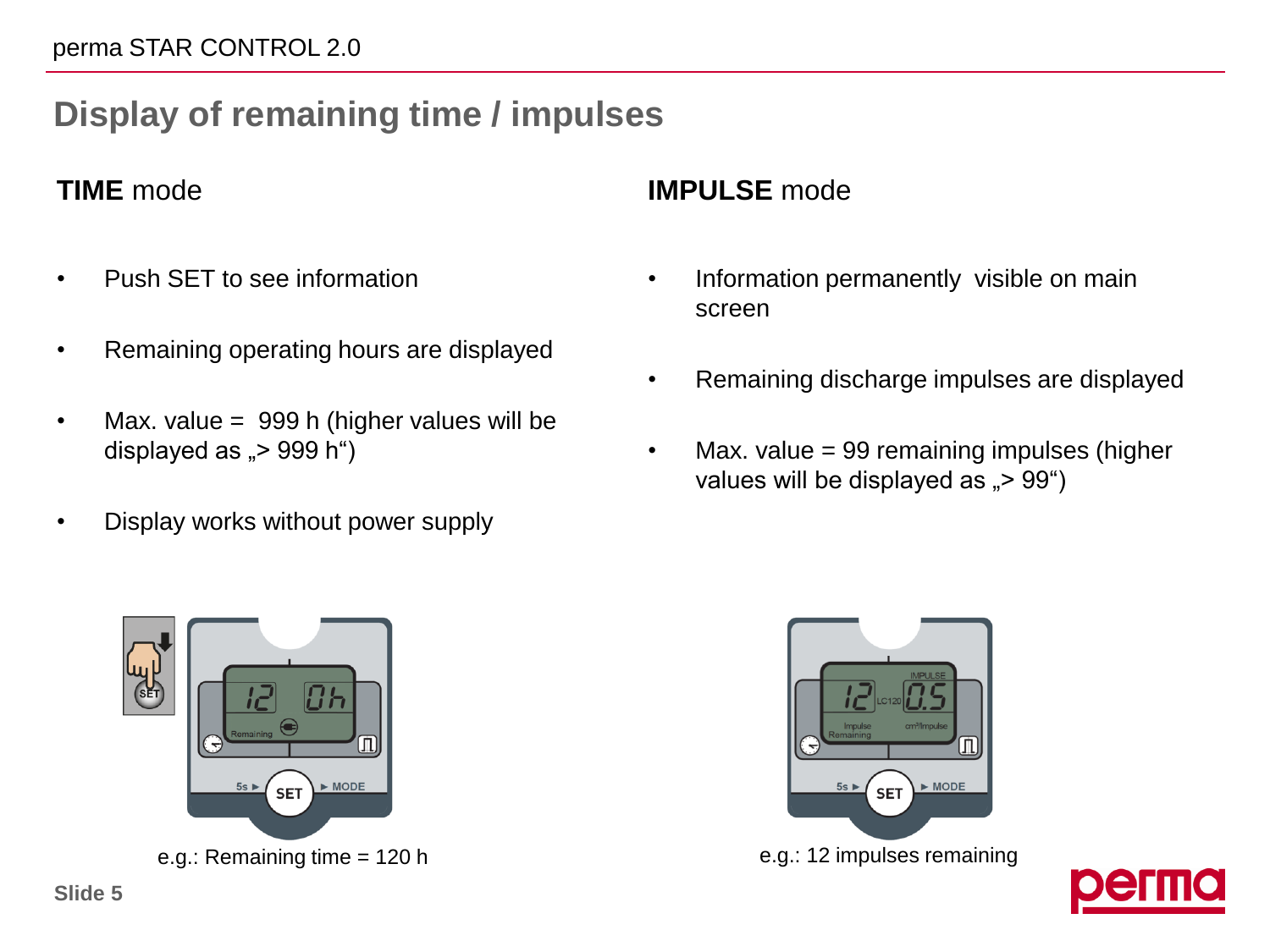# **Display of remaining time / impulses**

#### **TIME** mode

- Push SET to see information
- Remaining operating hours are displayed
- Max. value = 999 h (higher values will be displayed as  $P > 999$  h")
- Display works without power supply



- Information permanently visible on main screen
- Remaining discharge impulses are displayed
- Max. value = 99 remaining impulses (higher values will be displayed as  $\approx 99^\circ$ )





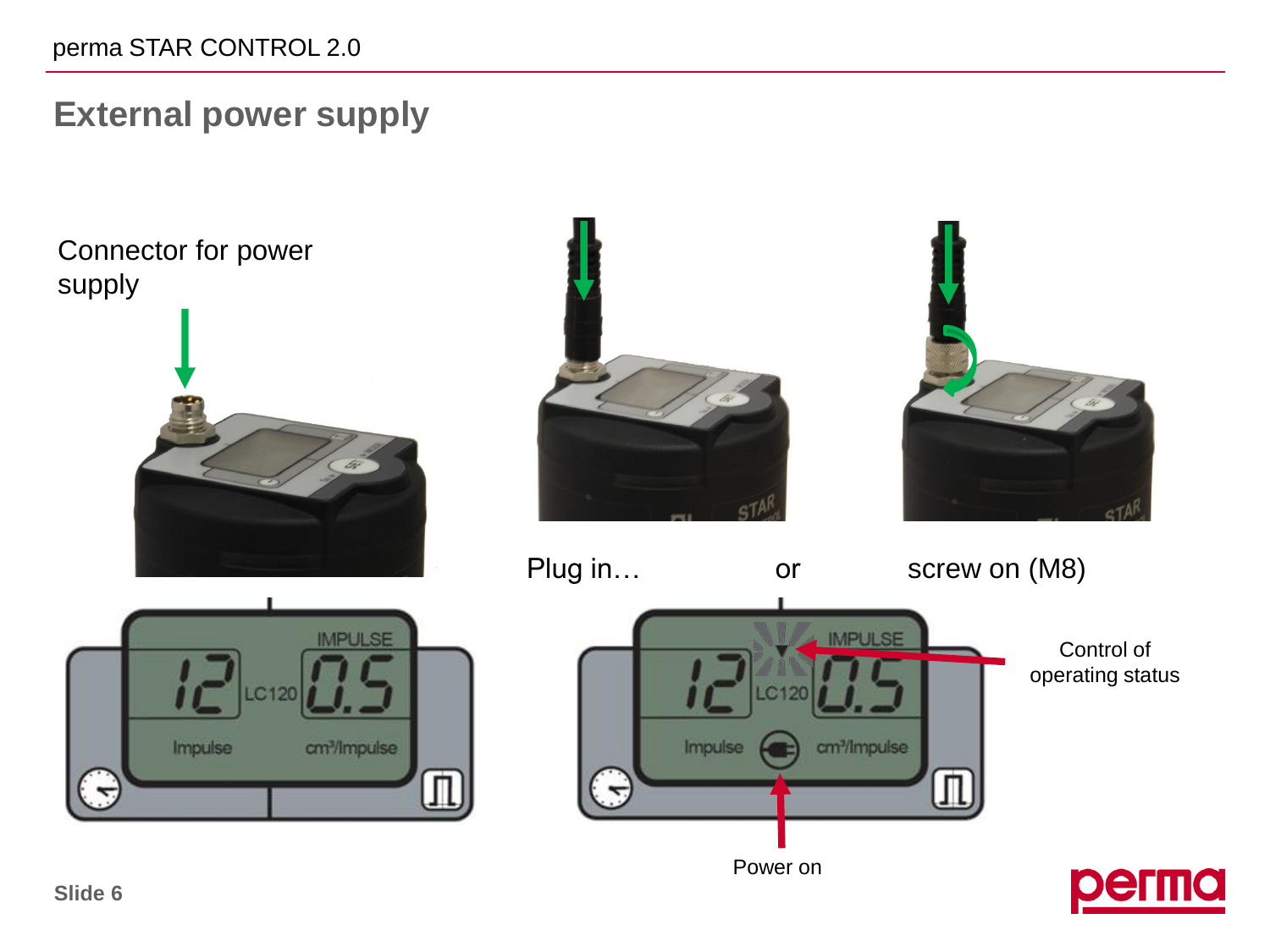#### perma STAR CONTROL 2.0

# **External power supply**

Connector for power supply









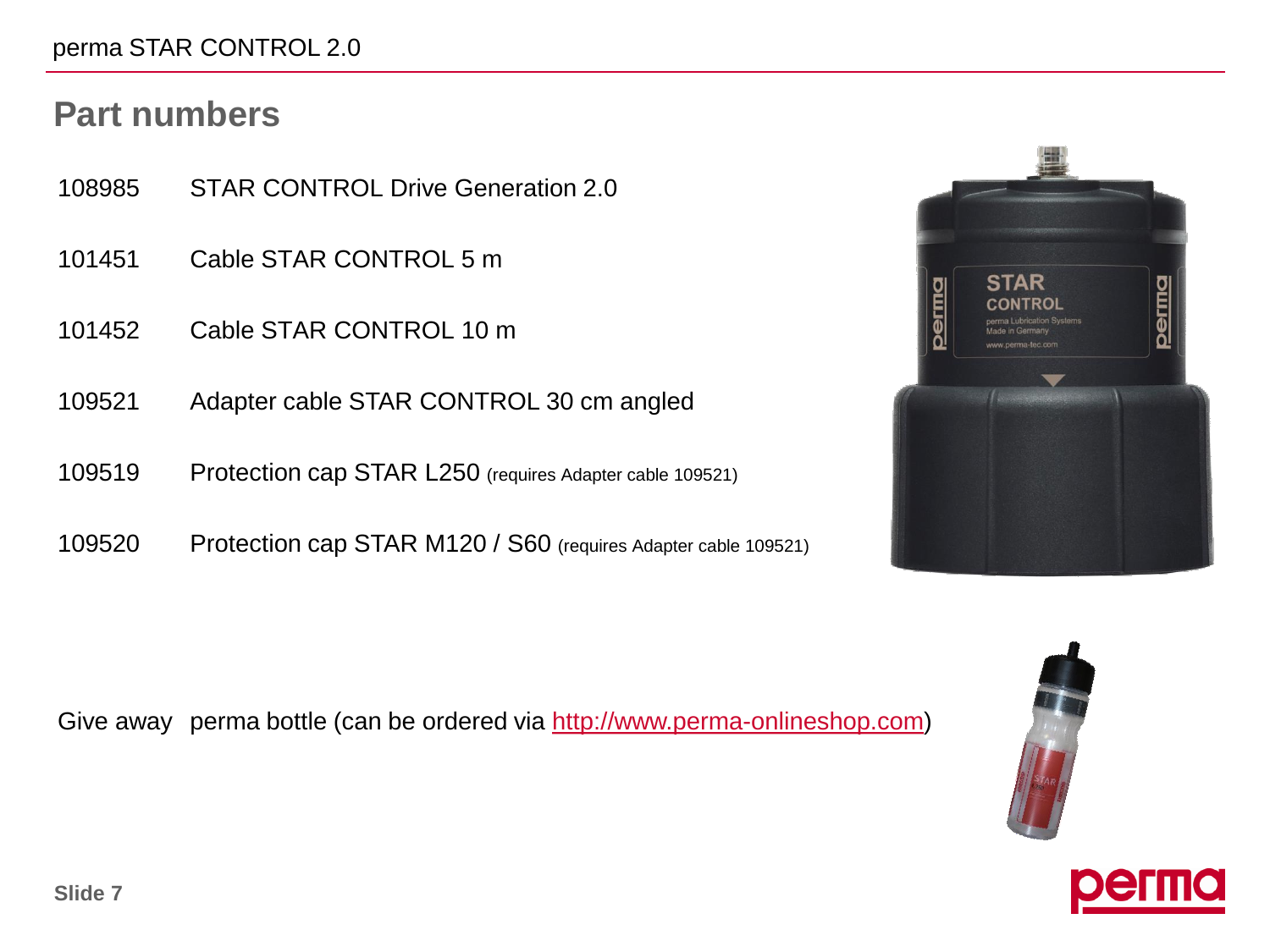#### perma STAR CONTROL 2.0

## **Part numbers**

- 108985 STAR CONTROL Drive Generation 2.0
- 101451 Cable STAR CONTROL 5 m
- 101452 Cable STAR CONTROL 10 m
- 109521 Adapter cable STAR CONTROL 30 cm angled
- 109519 Protection cap STAR L250 (requires Adapter cable 109521)
- 109520 Protection cap STAR M120 / S60 (requires Adapter cable 109521)

Give away perma bottle (can be ordered via [http://www.perma-onlineshop.com\)](http://www.perma-onlineshop.com/perma-Trinkflasche-0-75-l;00100_artikel_detail_en,,,78325,detail,artikel_nummer+1268.html)